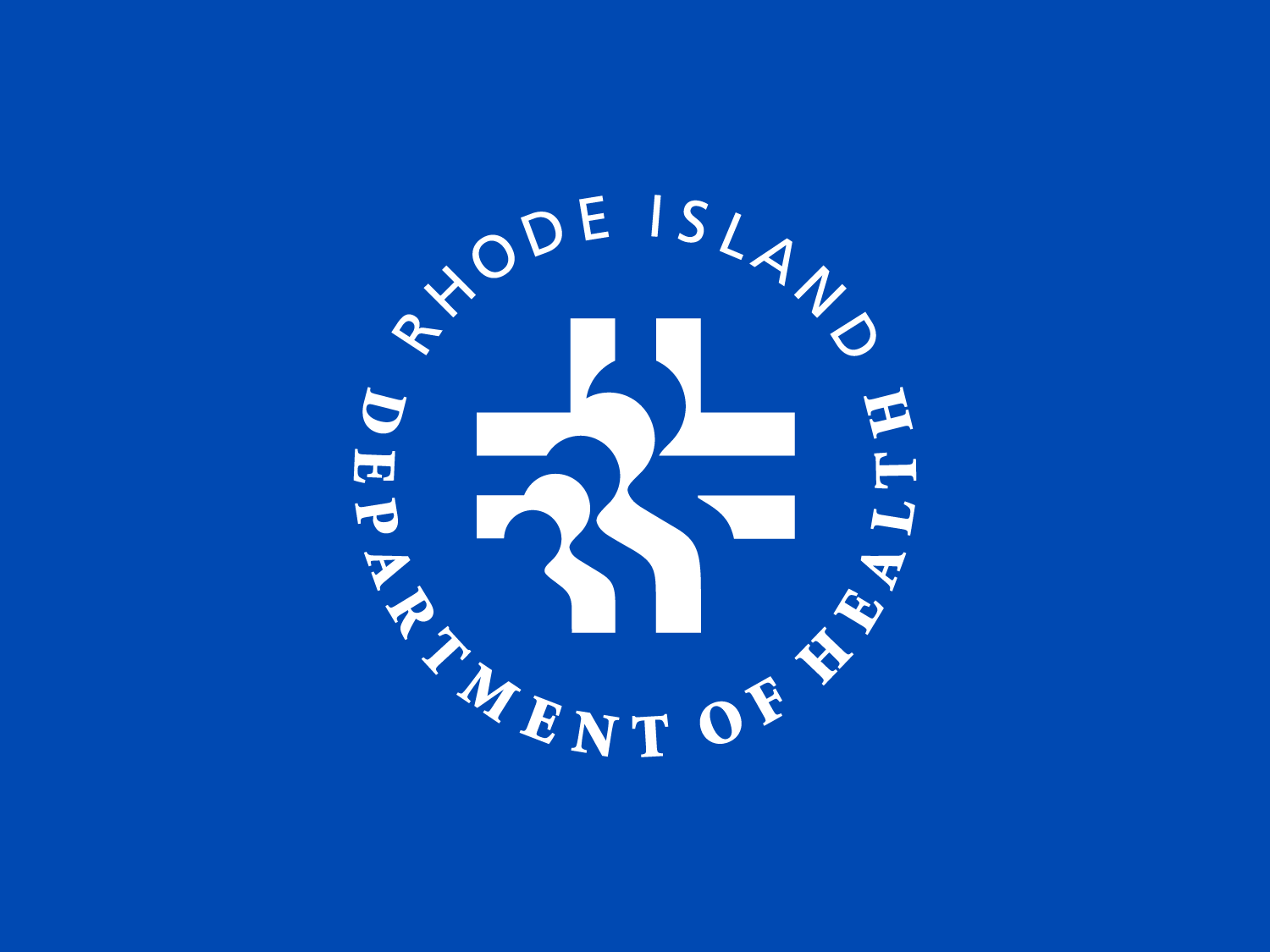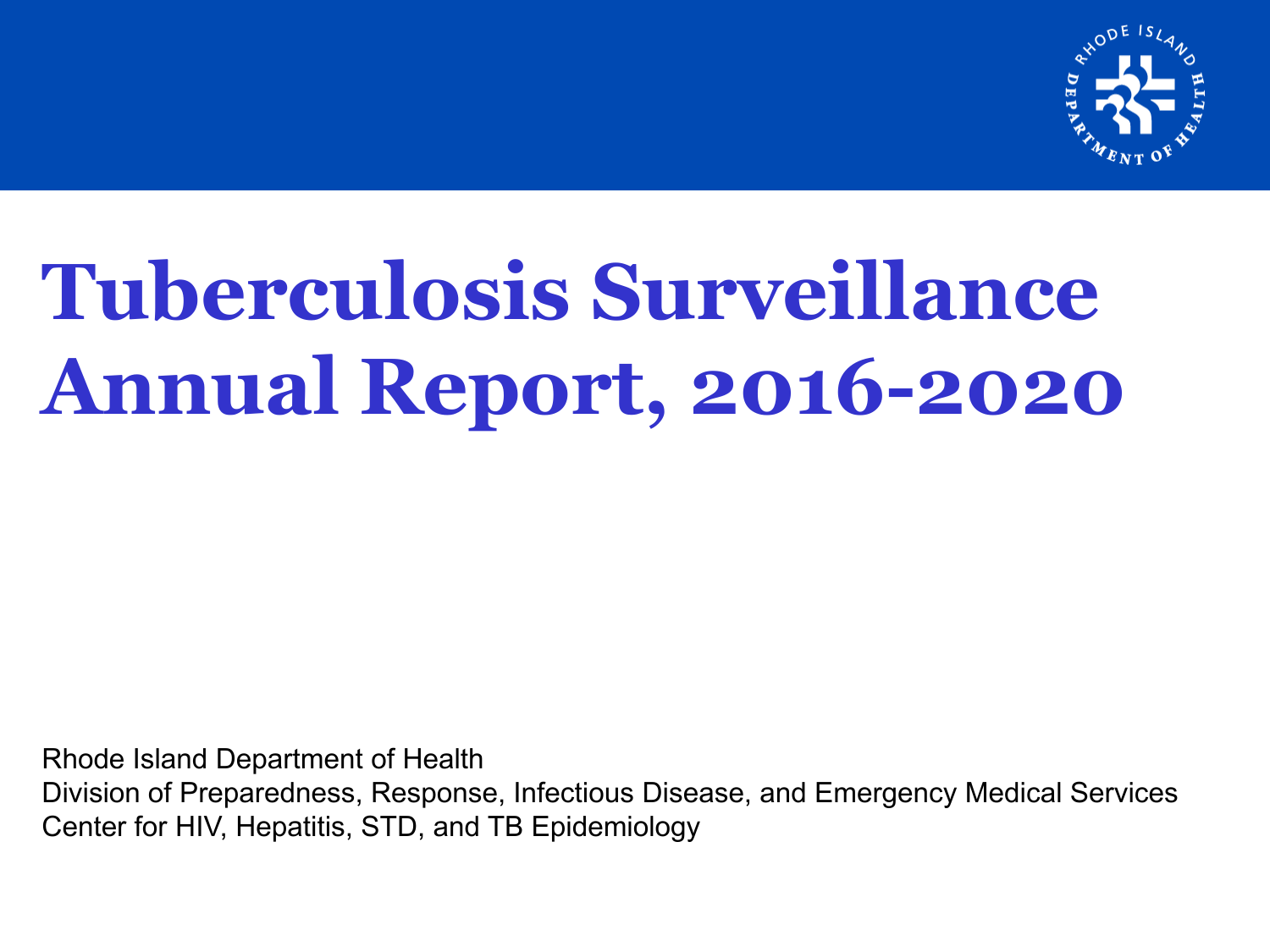

# **Tuberculosis Surveillance Annual Report, 2016-2020**

Rhode Island Department of Health Division of Preparedness, Response, Infectious Disease, and Emergency Medical Services Center for HIV, Hepatitis, STD, and TB Epidemiology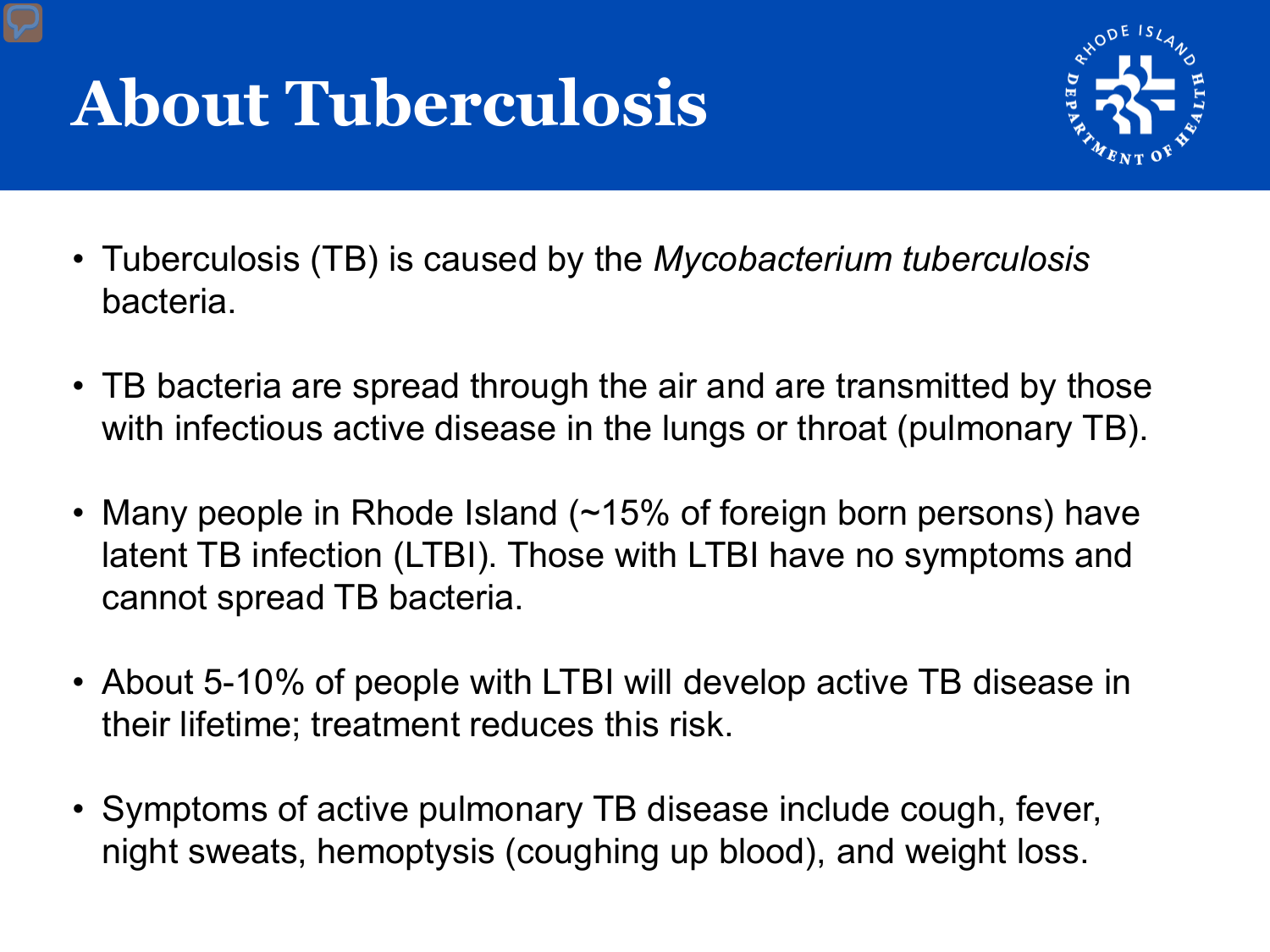# **About Tuberculosis**



- Tuberculosis (TB) is caused by the *Mycobacterium tuberculosis* bacteria.
- TB bacteria are spread through the air and are transmitted by those with infectious active disease in the lungs or throat (pulmonary TB).
- Many people in Rhode Island (~15% of foreign born persons) have latent TB infection (LTBI). Those with LTBI have no symptoms and cannot spread TB bacteria.
- About 5-10% of people with LTBI will develop active TB disease in their lifetime; treatment reduces this risk.
- Symptoms of active pulmonary TB disease include cough, fever, night sweats, hemoptysis (coughing up blood), and weight loss.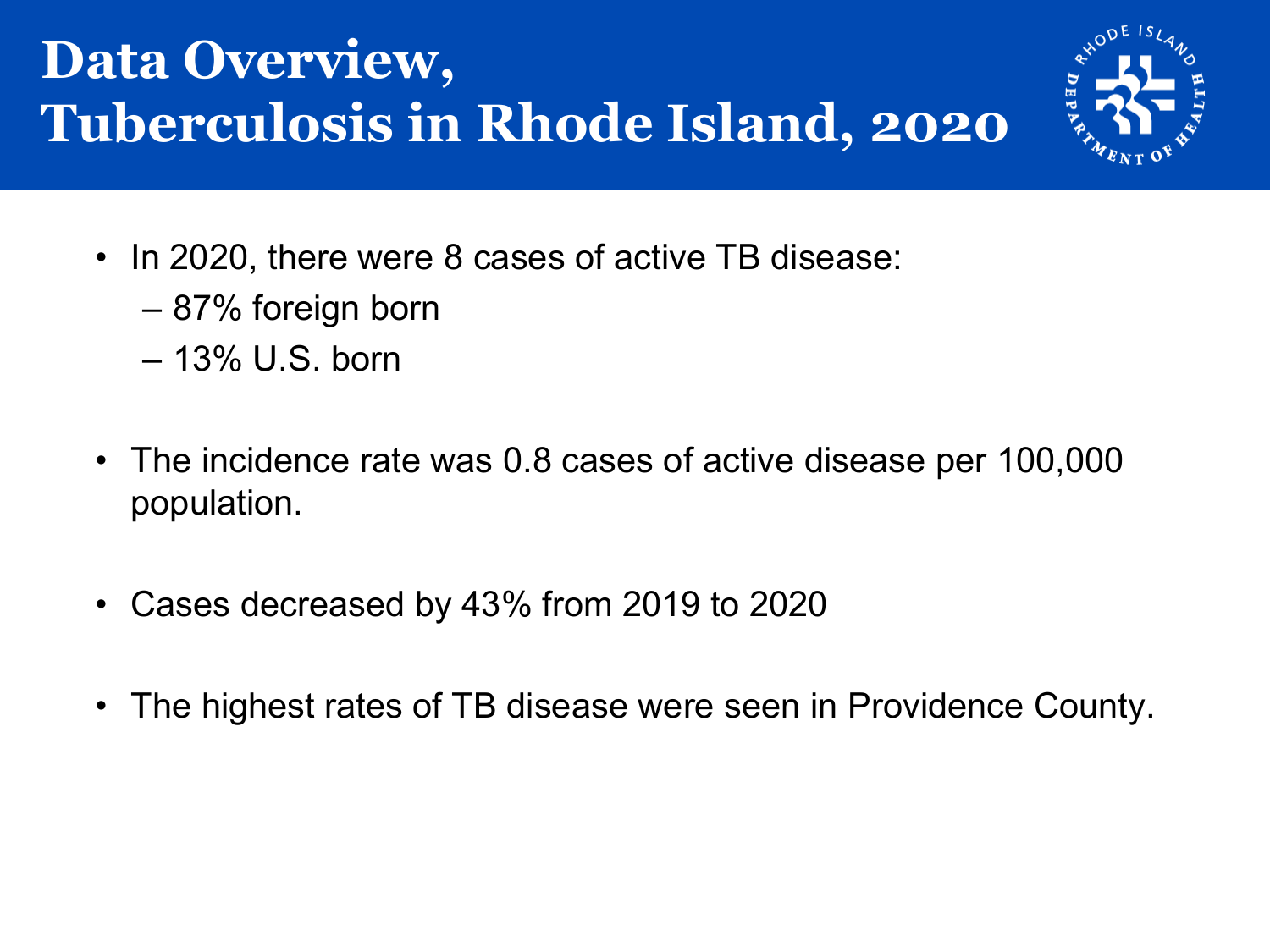#### **Data Overview, Tuberculosis in Rhode Island, 2020**



- In 2020, there were 8 cases of active TB disease:
	- 87% foreign born
	- 13% U.S. born
- The incidence rate was 0.8 cases of active disease per 100,000 population.
- Cases decreased by 43% from 2019 to 2020
- The highest rates of TB disease were seen in Providence County.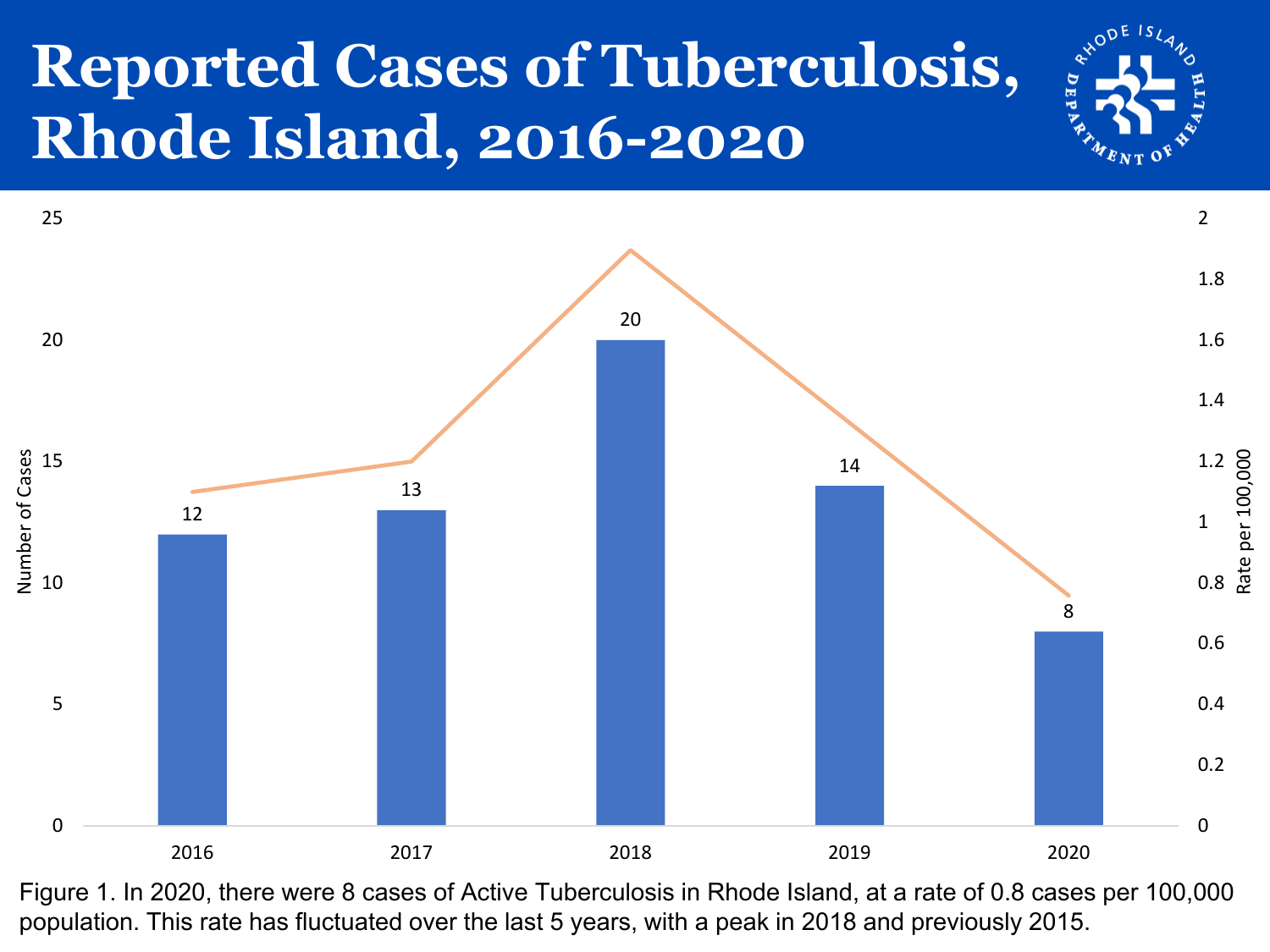### **Reported Cases of Tuberculosis, Rhode Island, 2016-2020**





Figure 1. In 2020, there were 8 cases of Active Tuberculosis in Rhode Island, at a rate of 0.8 cases per 100,000 population. This rate has fluctuated over the last 5 years, with a peak in 2018 and previously 2015.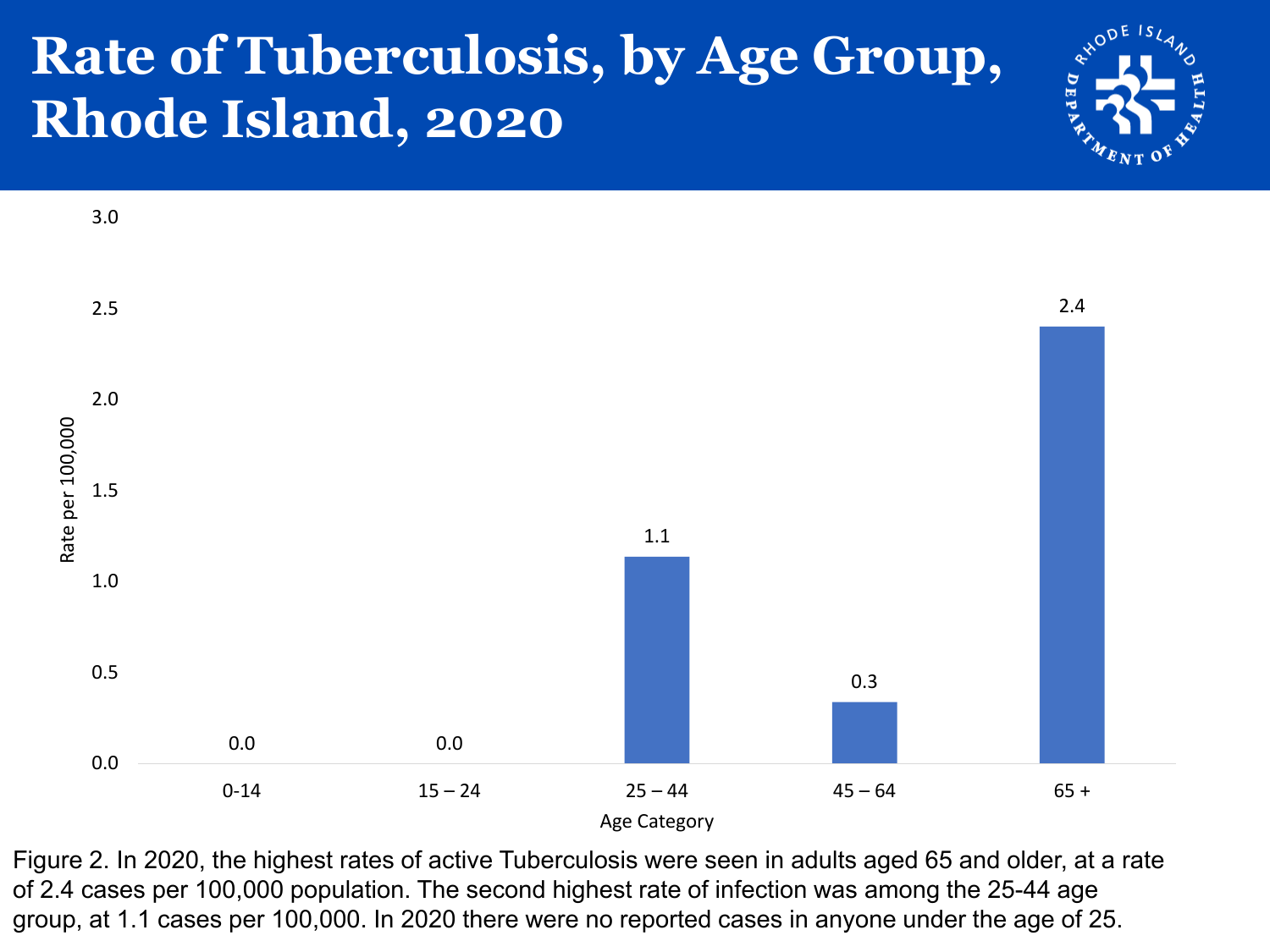#### **Rate of Tuberculosis, by Age Group, Rhode Island, 2020**





Figure 2. In 2020, the highest rates of active Tuberculosis were seen in adults aged 65 and older, at a rate of 2.4 cases per 100,000 population. The second highest rate of infection was among the 25-44 age group, at 1.1 cases per 100,000. In 2020 there were no reported cases in anyone under the age of 25.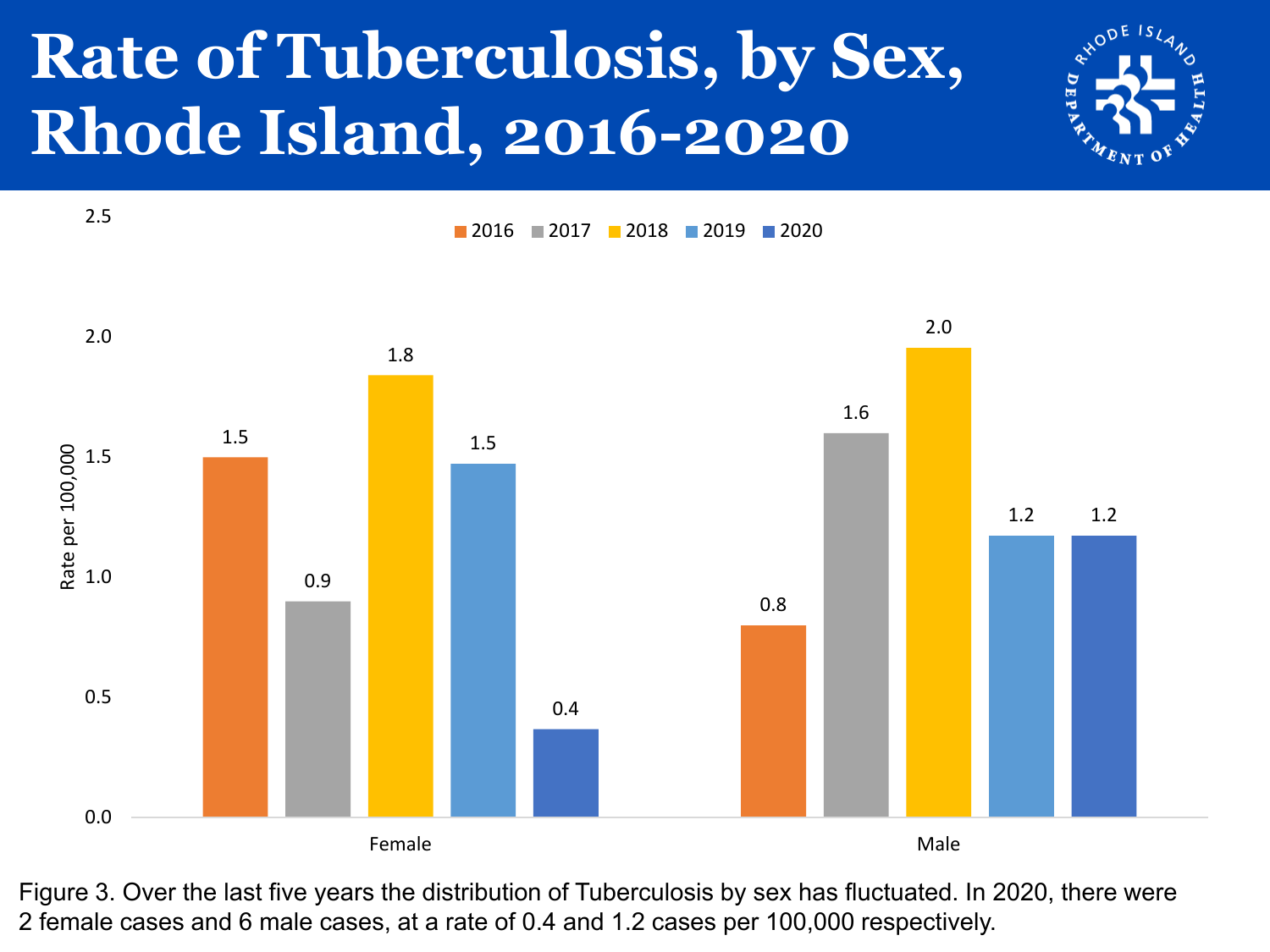# **Rate of Tuberculosis, by Sex, Rhode Island, 2016-2020**





Figure 3. Over the last five years the distribution of Tuberculosis by sex has fluctuated. In 2020, there were 2 female cases and 6 male cases, at a rate of 0.4 and 1.2 cases per 100,000 respectively.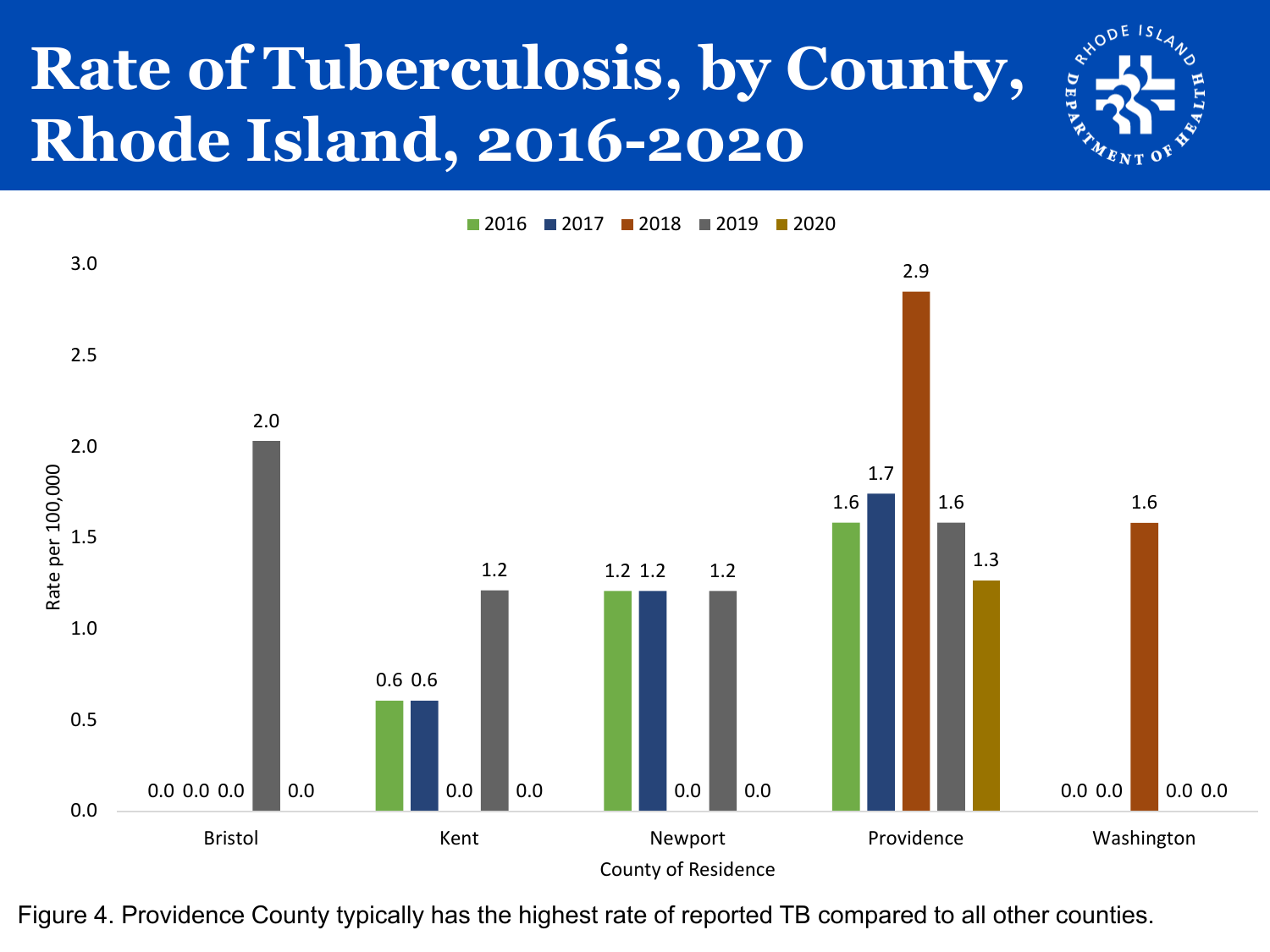## **Rate of Tuberculosis, by County, Rhode Island, 2016-2020**



2016 2017 2018 2019 2020



Figure 4. Providence County typically has the highest rate of reported TB compared to all other counties.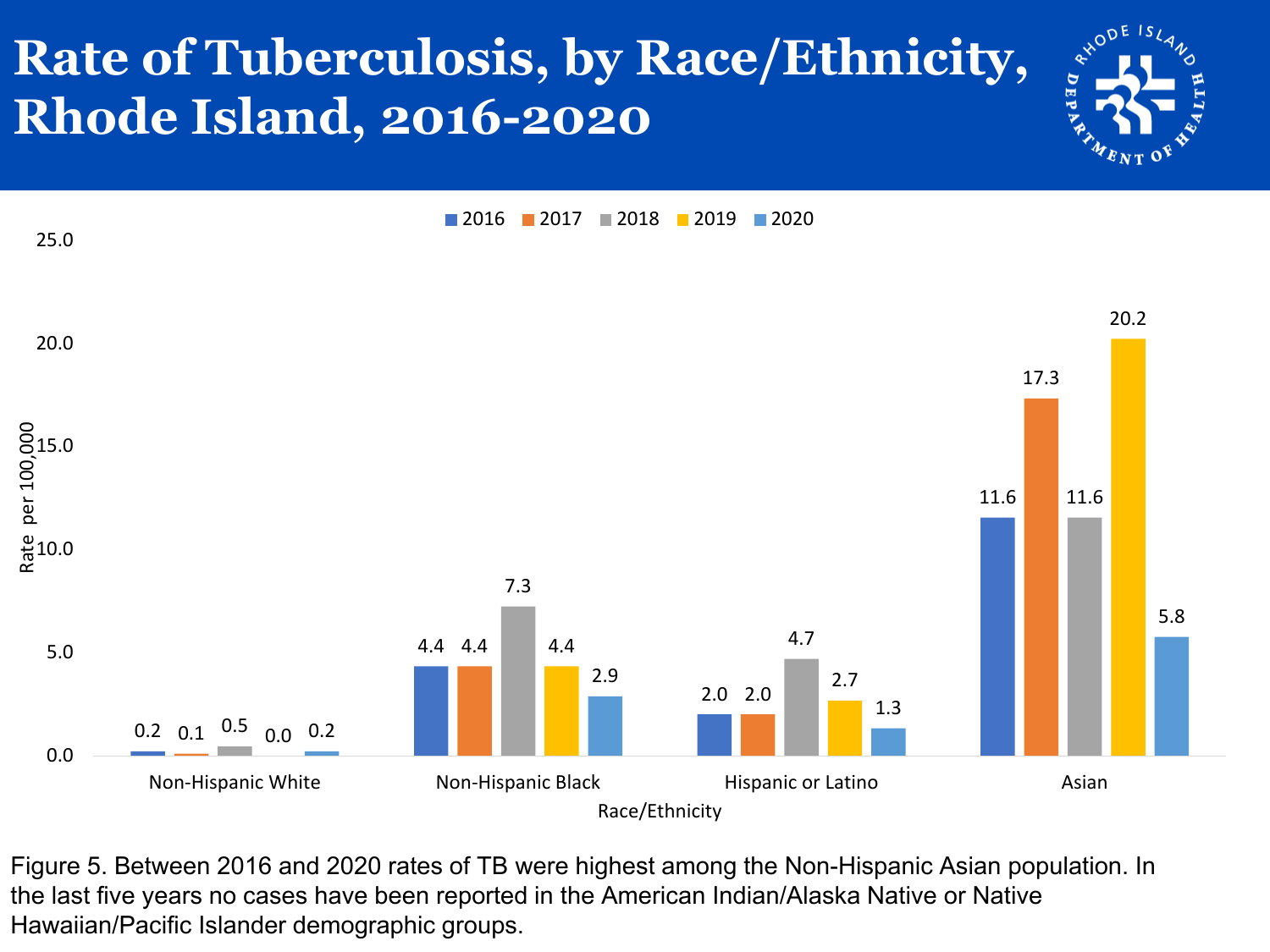#### **Rate of Tuberculosis, by Race/Ethnicity, Rhode Island, 2016-2020**



0.2  $0.1 \overline{)0.5}$  0.0 0.2 4.4 4.4 2.0 2.0 11.6 17.3 7.3 4.7 11.6 4.4 2.7 20.2 2.9 1.3 5.8 0.0 5.0  $\frac{9}{6}$ 10.0 00<br>15.0<br>Per 100<br>Per 100 20.0 25.0 Non-Hispanic White **Non-Hispanic Black** Hispanic or Latino Asian Rate per 100,000 2016 2017 2018 2019 2020

Race/Ethnicity

Figure 5. Between 2016 and 2020 rates of TB were highest among the Non-Hispanic Asian population. In the last five years no cases have been reported in the American Indian/Alaska Native or Native Hawaiian/Pacific Islander demographic groups.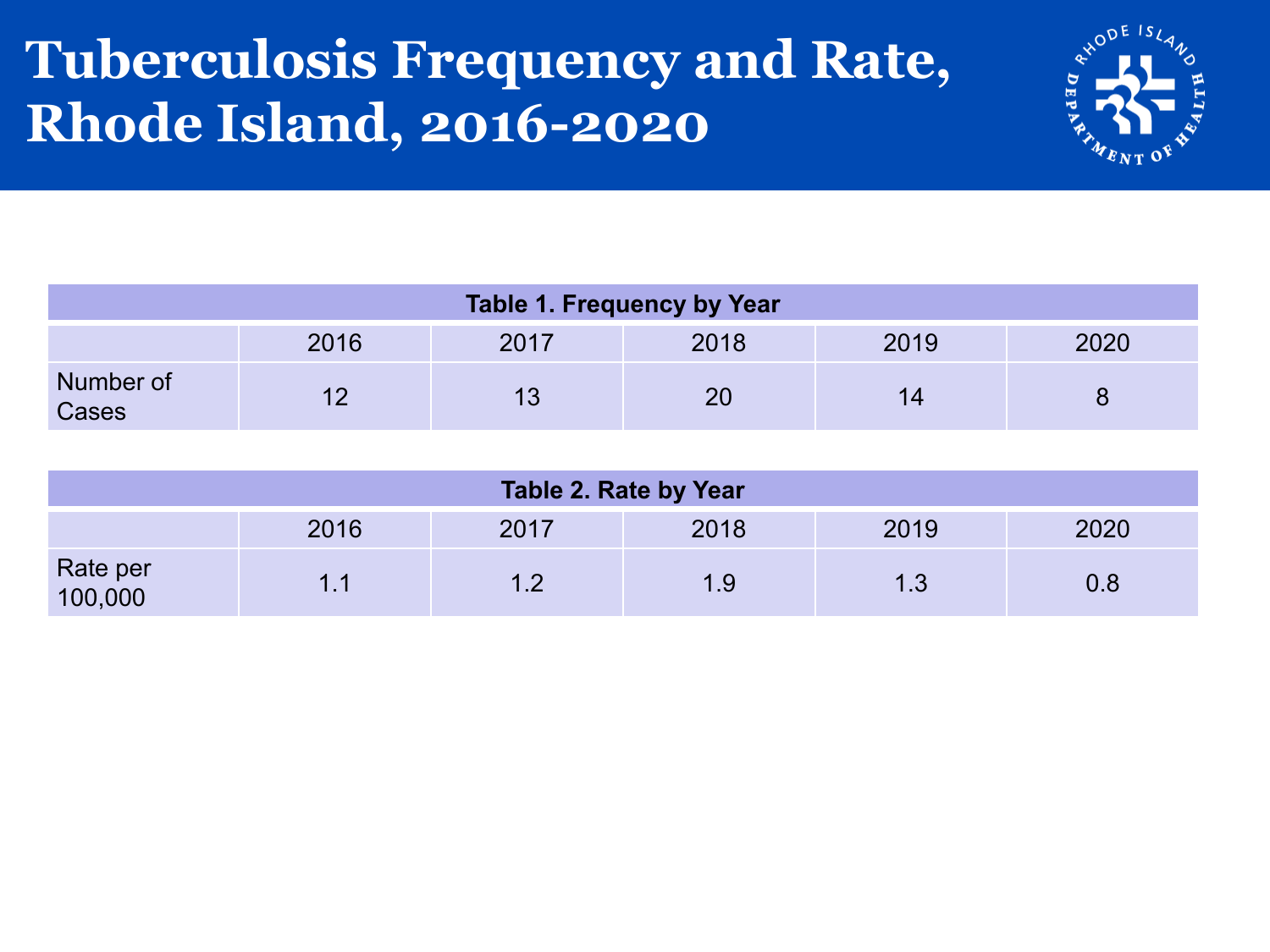#### **Tuberculosis Frequency and Rate, Rhode Island, 2016-2020**



| Table 1. Frequency by Year |      |      |      |      |      |  |  |
|----------------------------|------|------|------|------|------|--|--|
|                            | 2016 | 2017 | 2018 | 2019 | 2020 |  |  |
| Number of<br>Cases         |      |      | 20   | 14   |      |  |  |

| Table 2. Rate by Year |      |      |      |      |         |  |  |
|-----------------------|------|------|------|------|---------|--|--|
|                       | 2016 | 2017 | 2018 | 2019 | 2020    |  |  |
| Rate per<br>100,000   | 1.1  |      | 1.9  | 1.3  | $0.8\,$ |  |  |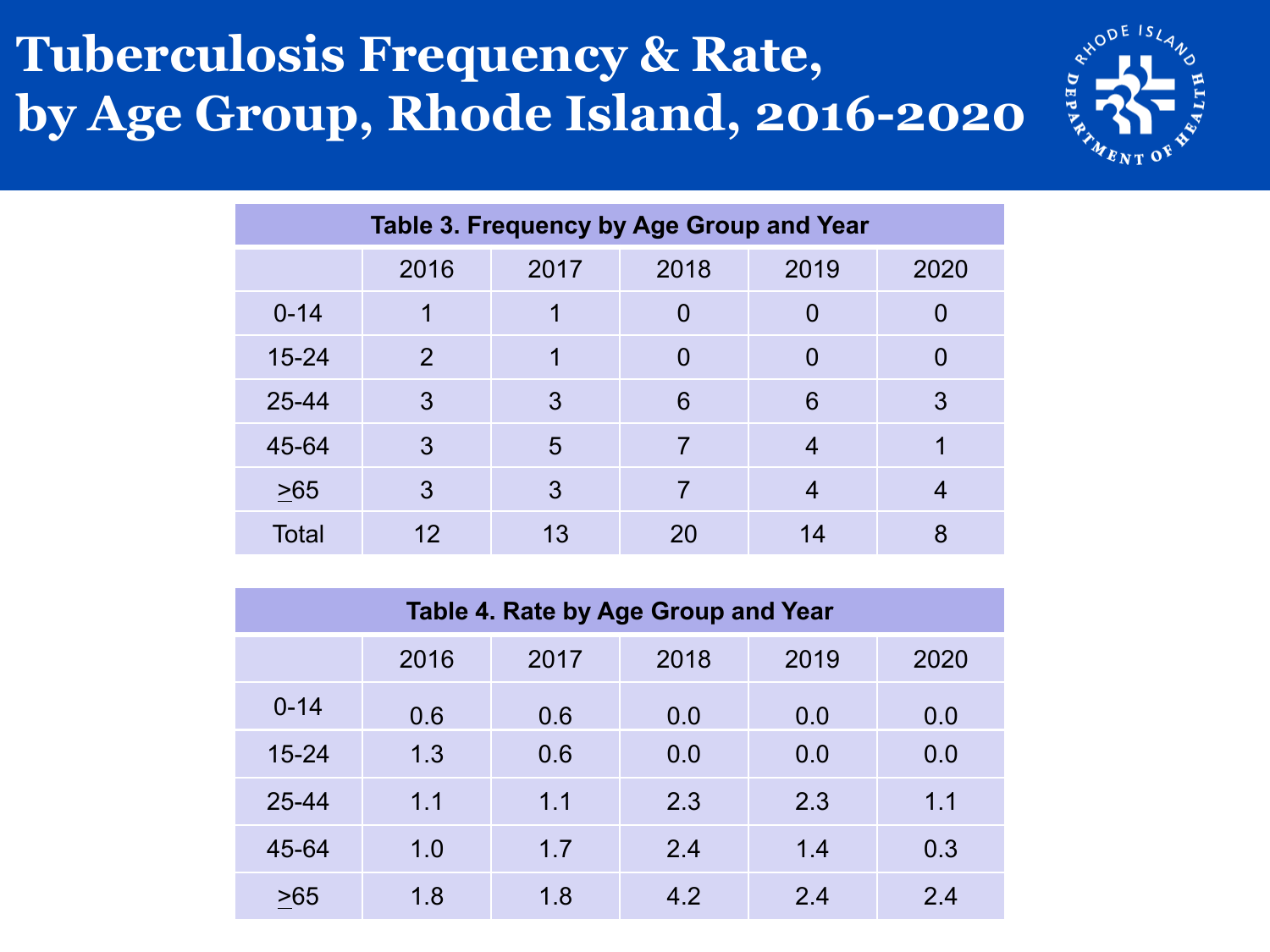#### **Tuberculosis Frequency & Rate, by Age Group, Rhode Island, 2016-2020**



| Table 3. Frequency by Age Group and Year |                |      |      |      |      |  |  |
|------------------------------------------|----------------|------|------|------|------|--|--|
|                                          | 2016           | 2017 | 2018 | 2019 | 2020 |  |  |
| $0 - 14$                                 | 1              |      | O    | 0    |      |  |  |
| $15 - 24$                                | $\overline{2}$ |      | 0    | 0    |      |  |  |
| $25 - 44$                                | 3              | 3    | 6    | 6    | 3    |  |  |
| 45-64                                    | 3              | 5    | 7    | 4    |      |  |  |
| $\geq 65$                                | 3              | 3    | 7    | 4    |      |  |  |
| Total                                    | 12             | 13   | 20   | 14   | 8    |  |  |

| Table 4. Rate by Age Group and Year |      |      |      |      |      |  |  |  |
|-------------------------------------|------|------|------|------|------|--|--|--|
|                                     | 2016 | 2017 | 2018 | 2019 | 2020 |  |  |  |
| $0 - 14$                            | 0.6  | 0.6  | 0.0  | 0.0  | 0.0  |  |  |  |
| $15 - 24$                           | 1.3  | 0.6  | 0.0  | 0.0  | 0.0  |  |  |  |
| 25-44                               | 1.1  | 1.1  | 2.3  | 2.3  | 1.1  |  |  |  |
| 45-64                               | 1.0  | 1.7  | 2.4  | 1.4  | 0.3  |  |  |  |
| >65                                 | 1.8  | 1.8  | 4.2  | 2.4  | 2.4  |  |  |  |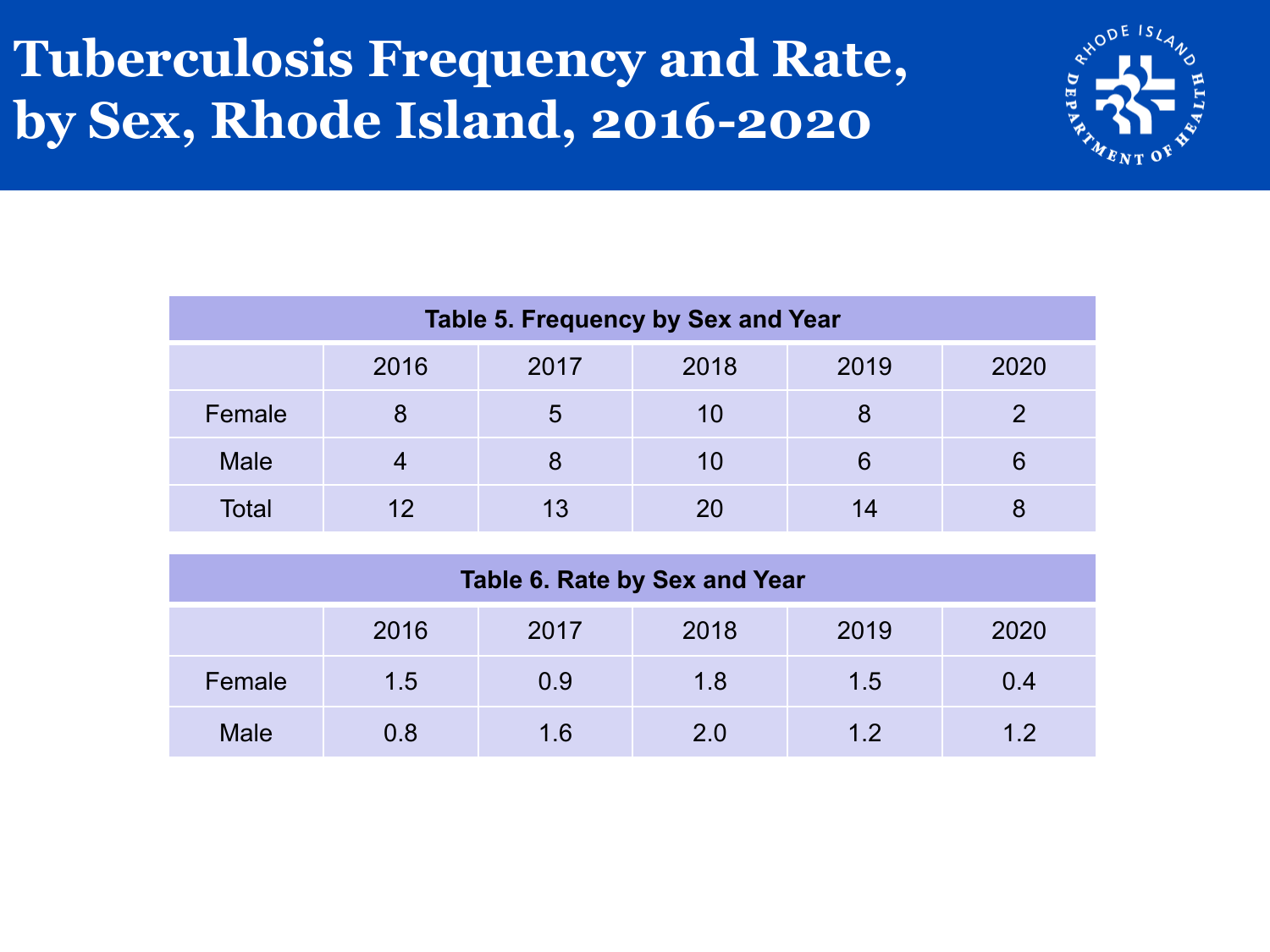#### **Tuberculosis Frequency and Rate, by Sex, Rhode Island, 2016-2020**



| Table 5. Frequency by Sex and Year |                                      |    |    |    |   |  |  |  |
|------------------------------------|--------------------------------------|----|----|----|---|--|--|--|
|                                    | 2018<br>2016<br>2017<br>2019<br>2020 |    |    |    |   |  |  |  |
| Female                             | 8                                    | 5  | 10 |    |   |  |  |  |
| <b>Male</b>                        | 4                                    |    | 10 | 6  | 6 |  |  |  |
| Total                              | 12                                   | 13 | 20 | 14 |   |  |  |  |

| Table 6. Rate by Sex and Year |                                      |     |     |     |     |  |  |
|-------------------------------|--------------------------------------|-----|-----|-----|-----|--|--|
|                               | 2018<br>2019<br>2016<br>2020<br>2017 |     |     |     |     |  |  |
| Female                        | 1.5                                  | 0.9 | 1.8 | 1.5 | 0.4 |  |  |
| <b>Male</b>                   | 0.8                                  | 1.6 | 2.0 | 1.2 | 12  |  |  |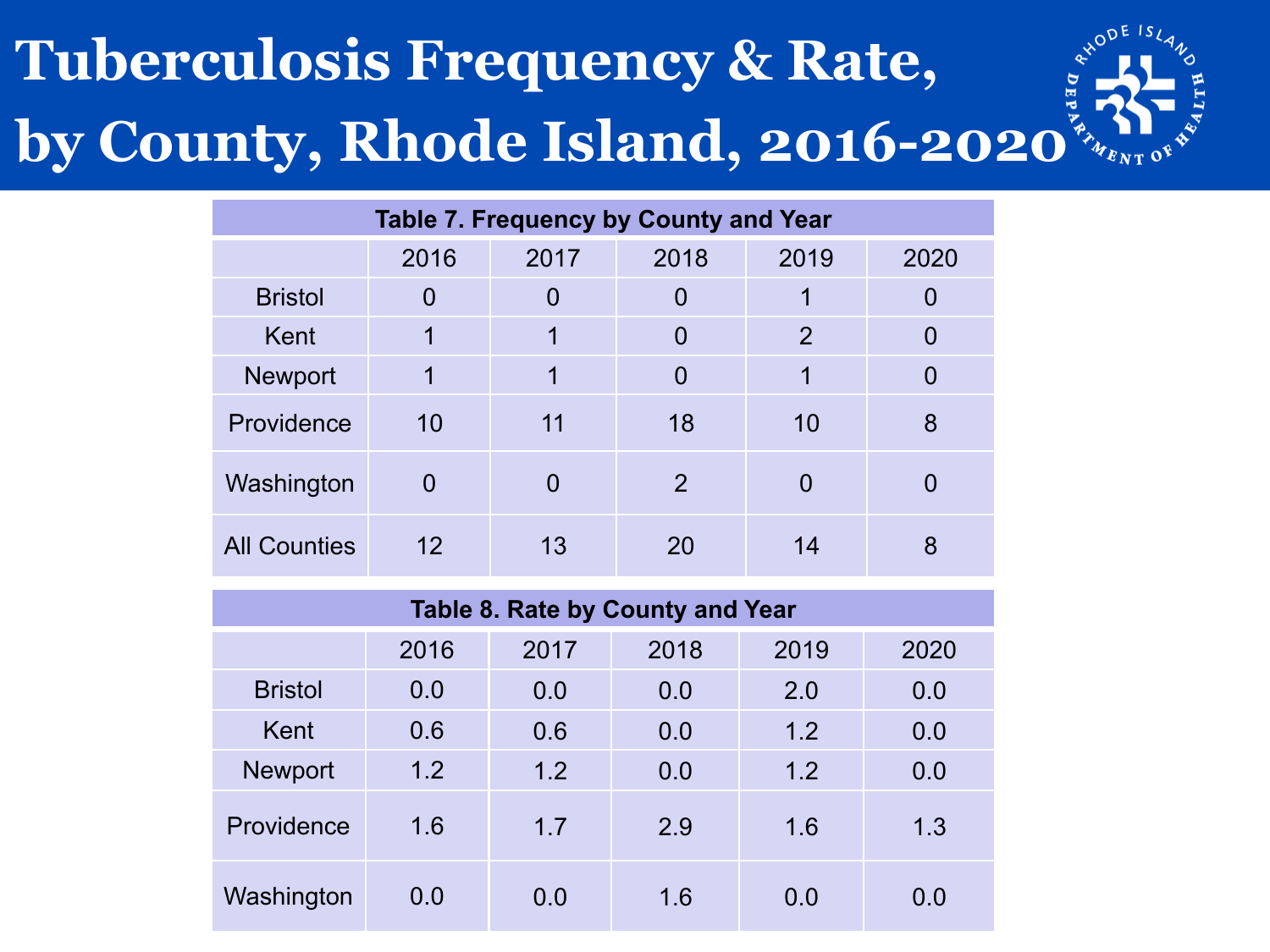# **Tuberculosis Frequency & Rate, by County, Rhode Island, 2016-2020**

| <b>Table 7. Frequency by County and Year</b> |          |                              |                |          |          |  |  |  |  |
|----------------------------------------------|----------|------------------------------|----------------|----------|----------|--|--|--|--|
|                                              | 2016     | 2018<br>2019<br>2017<br>2020 |                |          |          |  |  |  |  |
| <b>Bristol</b>                               | 0        | 0                            | 0              | 1        | 0        |  |  |  |  |
| Kent                                         | 1        | 2<br>1<br>$\overline{0}$     |                | $\Omega$ |          |  |  |  |  |
| <b>Newport</b>                               | 1        | 1                            | $\overline{0}$ | 1        | $\Omega$ |  |  |  |  |
| Providence                                   | 10       | 11                           | 18             | 10       | 8        |  |  |  |  |
| Washington                                   | $\Omega$ | 0                            | $\overline{2}$ | 0        |          |  |  |  |  |
| <b>All Counties</b>                          | 12       | 13                           | 20             | 14       | 8        |  |  |  |  |

| Table 8. Rate by County and Year |      |      |      |      |      |  |  |
|----------------------------------|------|------|------|------|------|--|--|
|                                  | 2016 | 2017 | 2018 | 2019 | 2020 |  |  |
| <b>Bristol</b>                   | 0.0  | 0.0  | 0.0  | 2.0  | 0.0  |  |  |
| Kent                             | 0.6  | 0.6  | 0.0  | 1.2  | 0.0  |  |  |
| <b>Newport</b>                   | 1.2  | 1.2  | 0.0  | 1.2  | 0.0  |  |  |
| Providence                       | 1.6  | 1.7  | 2.9  | 1.6  | 1.3  |  |  |
| Washington                       | 0.0  | 0.0  | 1.6  | 0.0  | 0.0  |  |  |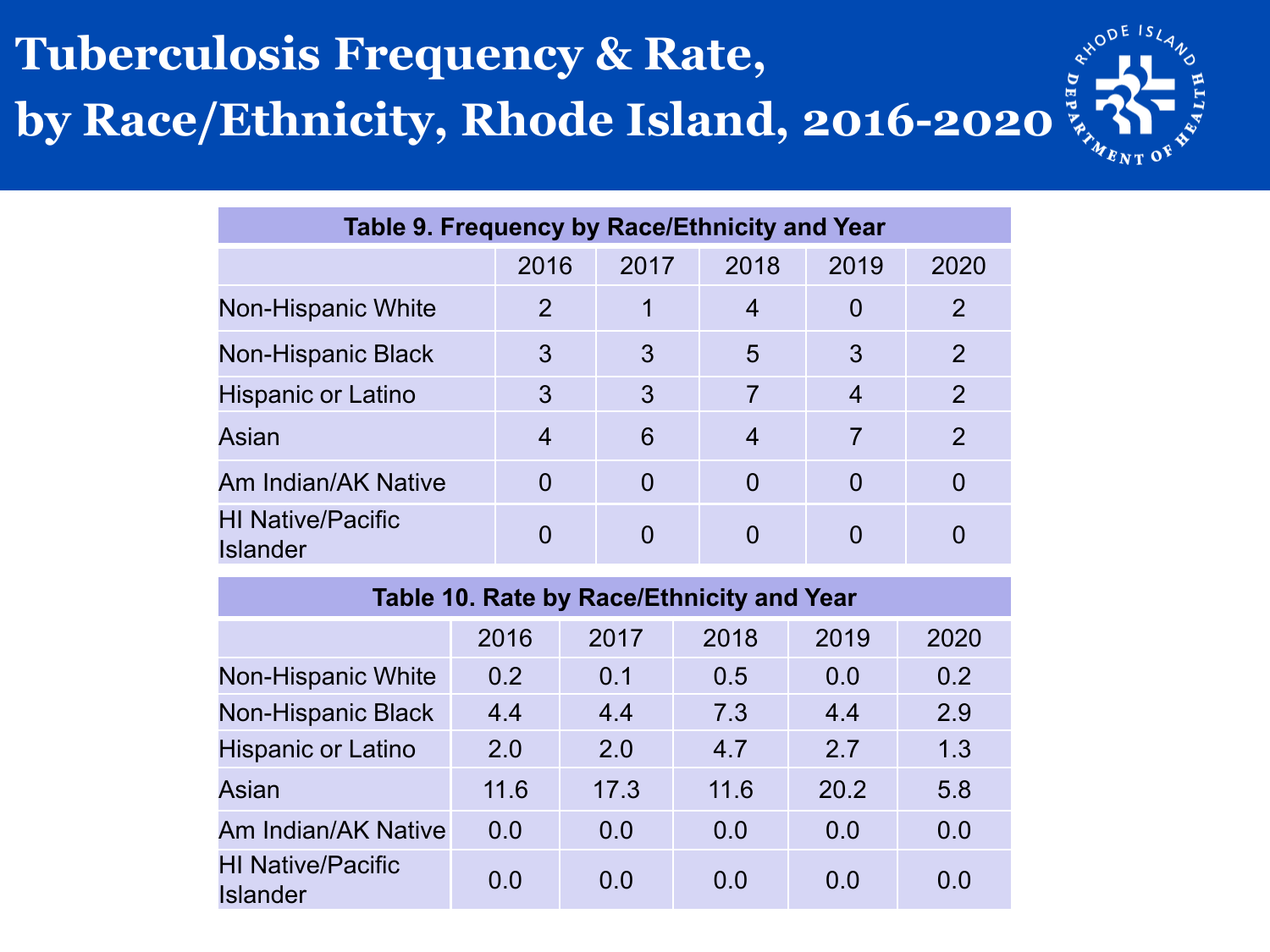#### **Tuberculosis Frequency & Rate, by Race/Ethnicity, Rhode Island, 2016-2020**



| Table 9. Frequency by Race/Ethnicity and Year |      |          |          |      |                |  |  |
|-----------------------------------------------|------|----------|----------|------|----------------|--|--|
|                                               | 2016 | 2017     | 2018     | 2019 | 2020           |  |  |
| <b>Non-Hispanic White</b>                     | 2    |          | 4        | 0    | $\overline{2}$ |  |  |
| Non-Hispanic Black                            | 3    | 3        | 5        | 3    | 2              |  |  |
| <b>Hispanic or Latino</b>                     | 3    | 3        | 7        | 4    | 2              |  |  |
| <b>Asian</b>                                  | 4    | 6        | 4        | 7    | $\overline{2}$ |  |  |
| Am Indian/AK Native                           |      | $\Omega$ | $\Omega$ | 0    |                |  |  |
| <b>HI Native/Pacific</b><br><b>Islander</b>   |      |          |          |      |                |  |  |

| Table 10. Rate by Race/Ethnicity and Year   |      |      |      |      |      |  |  |  |
|---------------------------------------------|------|------|------|------|------|--|--|--|
|                                             | 2016 | 2017 | 2018 | 2019 | 2020 |  |  |  |
| <b>Non-Hispanic White</b>                   | 0.2  | 0.1  | 0.5  | 0.0  | 0.2  |  |  |  |
| Non-Hispanic Black                          | 4.4  | 4.4  | 7.3  | 4.4  | 2.9  |  |  |  |
| <b>Hispanic or Latino</b>                   | 2.0  | 2.0  | 4.7  | 2.7  | 1.3  |  |  |  |
| Asian                                       | 11.6 | 17.3 | 11.6 | 20.2 | 5.8  |  |  |  |
| Am Indian/AK Native                         | 0.0  | 0.0  | 0.0  | 0.0  | 0.0  |  |  |  |
| <b>HI Native/Pacific</b><br><b>Islander</b> | 0.0  | 0.0  | 0.0  | 0.0  | 0.0  |  |  |  |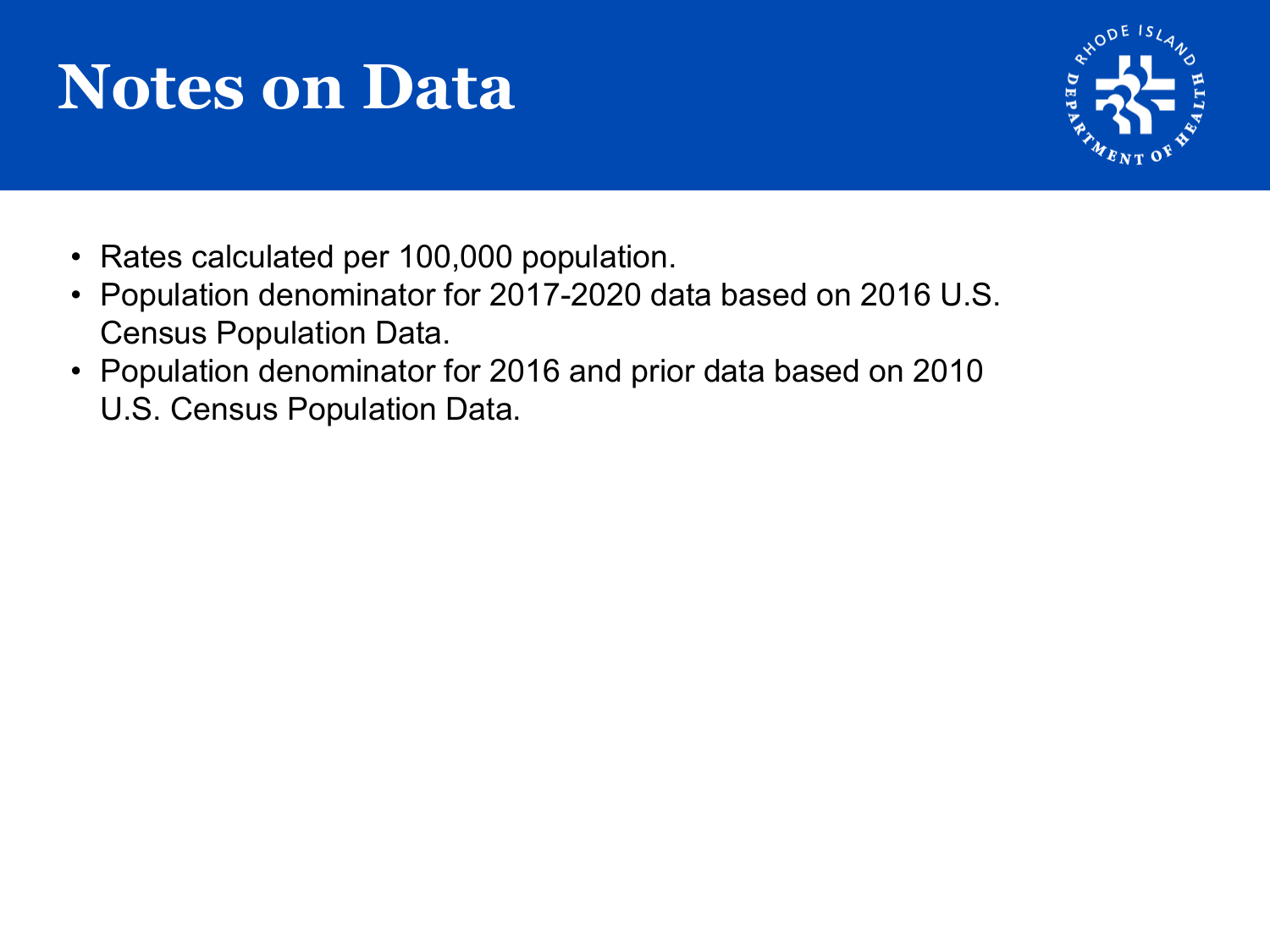### **Notes on Data**



- Rates calculated per 100,000 population.
- Population denominator for 2017-2020 data based on 2016 U.S. Census Population Data.
- Population denominator for 2016 and prior data based on 2010 U.S. Census Population Data.